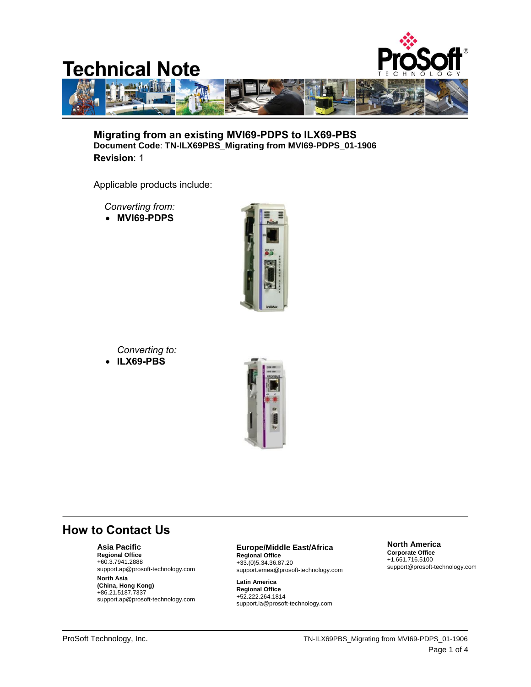

**Migrating from an existing MVI69-PDPS to ILX69-PBS Document Code**: **TN-ILX69PBS\_Migrating from MVI69-PDPS\_01-1906 Revision**: 1

Applicable products include:

 *Converting from:*

**MVI69-PDPS**



*Converting to:*

**ILX69-PBS**



## **How to Contact Us**

**Asia Pacific**

**Regional Office** +60.3.7941.2888 support.ap@prosoft-technology.com

**North Asia (China, Hong Kong)** +86.21.5187.7337 support.ap@prosoft-technology.com

## **Europe/Middle East/Africa**

**Regional Office** +33.(0)5.34.36.87.20 support.emea@prosoft-technology.com

**Latin America Regional Office** +52.222.264.1814 support.la@prosoft-technology.com

**North America Corporate Office**

+1.661.716.5100 support@prosoft-technology.com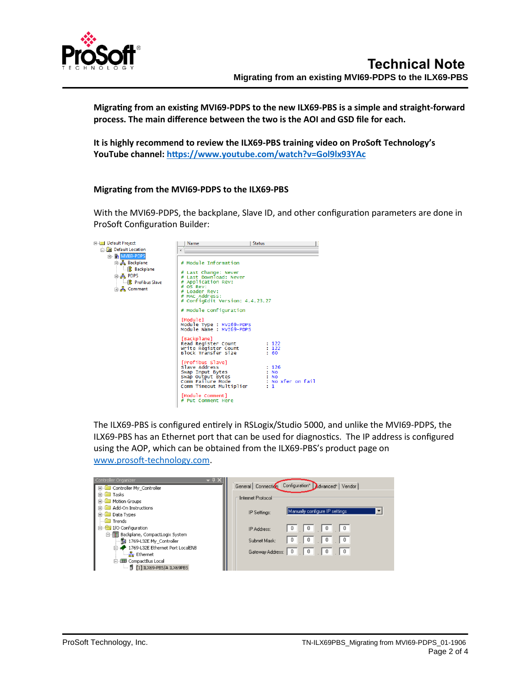

**Migrating from an existing MVI69-PDPS to the new ILX69-PBS is a simple and straight-forward process. The main difference between the two is the AOI and GSD file for each.**

**It is highly recommend to review the ILX69-PBS training video on ProSoft Technology's YouTube channel:<https://www.youtube.com/watch?v=Gol9lx93YAc>**

## **Migrating from the MVI69-PDPS to the ILX69-PBS**

With the MVI69-PDPS, the backplane, Slave ID, and other configuration parameters are done in ProSoft Configuration Builder:



The ILX69-PBS is configured entirely in RSLogix/Studio 5000, and unlike the MVI69-PDPS, the ILX69-PBS has an Ethernet port that can be used for diagnostics. The IP address is configured using the AOP, which can be obtained from the ILX69-PBS's product page on [www.prosoft-technology.com.](http://www.prosoft-technology.com/)

| Controller Organizer                       |                                                                         |
|--------------------------------------------|-------------------------------------------------------------------------|
| <b>E</b> Controller My Controller          | General Connection Configuration* Advanced* Vendor                      |
| <b>Tasks</b><br>中国                         | ⊤Internet Protocol                                                      |
| <b>H</b> <sup></sup> Motion Groups         |                                                                         |
| Add-On Instructions                        | Manually configure IP settings                                          |
| <b>E</b> Data Types                        | IP Settings:                                                            |
| $\Box$ Trends                              |                                                                         |
| 白 【/O Configuration                        | $0$   $0$  <br>$\Box$ 0<br>$\Box$ 0<br>IP Address:                      |
| 白 - - - - - Backplane, CompactLogix System |                                                                         |
| 1769-L32E My Controller                    | $\Box$<br>$\Box$ 0<br>$\Box$ 0 $\Box$<br>$\overline{0}$<br>Subnet Mask: |
| in 4 1769-L32E Ethernet Port LocalENB      | $\begin{array}{c c} 0 \\ \hline \end{array}$<br>$\Box$ 0                |
| -- <del>몷</del> Ethernet                   | $\blacksquare$ 0 $\blacksquare$<br>Gateway Address: 0                   |
| 白 <b>11 CompactBus Local</b>               |                                                                         |
| [1] ILX69-PBS/A ILX69PBS                   |                                                                         |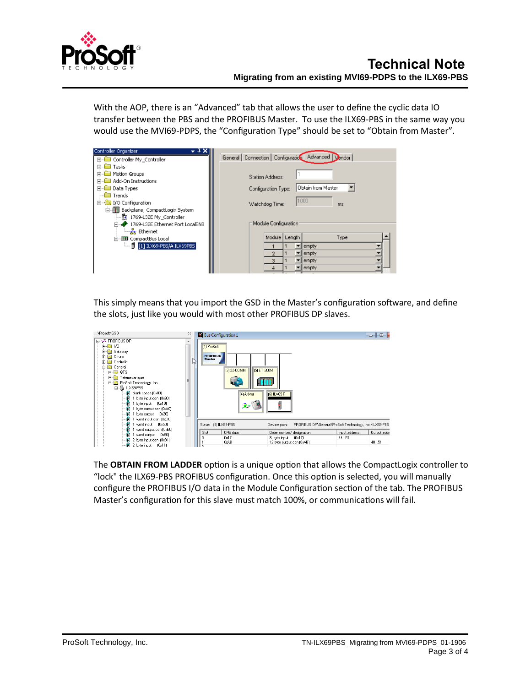

With the AOP, there is an "Advanced" tab that allows the user to define the cyclic data IO transfer between the PBS and the PROFIBUS Master. To use the ILX69-PBS in the same way you would use the MVI69-PDPS, the "Configuration Type" should be set to "Obtain from Master".

| Controller Organizer                  |                                                                     |
|---------------------------------------|---------------------------------------------------------------------|
| E Controller My_Controller            | General   Connection   Configuration   Advanced  <br><b>D</b> endor |
| Tasks                                 |                                                                     |
| Motion Groups                         | <b>Station Address:</b>                                             |
| Add-On Instructions                   |                                                                     |
| Data Types                            | Obtain from Master<br>Configuration Type:                           |
| Trends                                |                                                                     |
| I/O Configuration<br>F                | 1000<br>Watchdog Time:<br>ms                                        |
| Backplane, CompactLogix System        |                                                                     |
| …配 1769-L32E My_Controller            |                                                                     |
| 1769-L32E Ethernet Port LocalENB      | Module Configuration                                                |
| <del>__<mark>_</mark>_</del> Ethernet |                                                                     |
| 白·田 CompactBus Local                  | Module   Length<br>Type                                             |
| [1] ILX69-PBS/A ILX69PBS              | empty                                                               |
|                                       | empty                                                               |
|                                       | 3<br>empty                                                          |
|                                       | empty                                                               |
|                                       |                                                                     |

This simply means that you import the GSD in the Master's configuration software, and define the slots, just like you would with most other PROFIBUS DP slaves.



The **OBTAIN FROM LADDER** option is a unique option that allows the CompactLogix controller to "lock" the ILX69-PBS PROFIBUS configuration. Once this option is selected, you will manually configure the PROFIBUS I/O data in the Module Configuration section of the tab. The PROFIBUS Master's configuration for this slave must match 100%, or communications will fail.